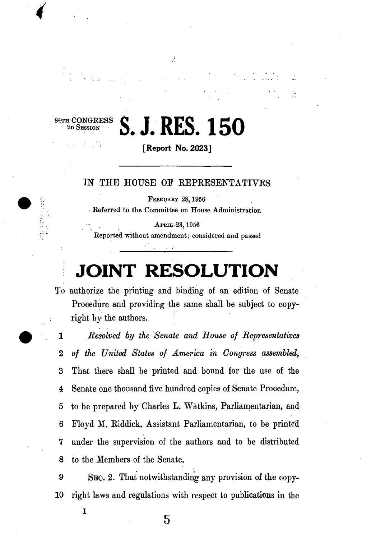84TH CONGRESS 2D SESSION

## **S. J. RES. 150**

÷

 $\tilde{\Omega}$ 

**[Report No. 2023]** 

C)

## IN THE HOUSE OF REPRESENTATIVES

**FEBRUARY 28,1956 Referred to the Committee on House Administration** 

**APRIL 23,1956 Reported without amendment; considered and passed** 

## **JOINT RESOLUTION**

To authorize the printing and binding of an edition of Senate Procedure and providing the same shall be subject to copyright by the authors.

**1** *Resolved by the Senate and House of Representatives*  **<sup>2</sup>** *of the United States of America in Congress assembled,*  3 That there shall be printed and bound for the use of the 4 Senate one thousand five hundred copies of Senate Procedure, 5 to be prepared by Charles L. Watkins, Parliamentarian, and 6 Floyd M . Eiddick, Assistant Parliamentarian, to be printed 7 under the supervision of the authors and to be distributed 8 to the Members of the Senate.

**9 SEO. 2.** That notwithstanding any provision of the copy-**10** right laws and regulations with respect to publications in the

I

 $5\overline{)}$